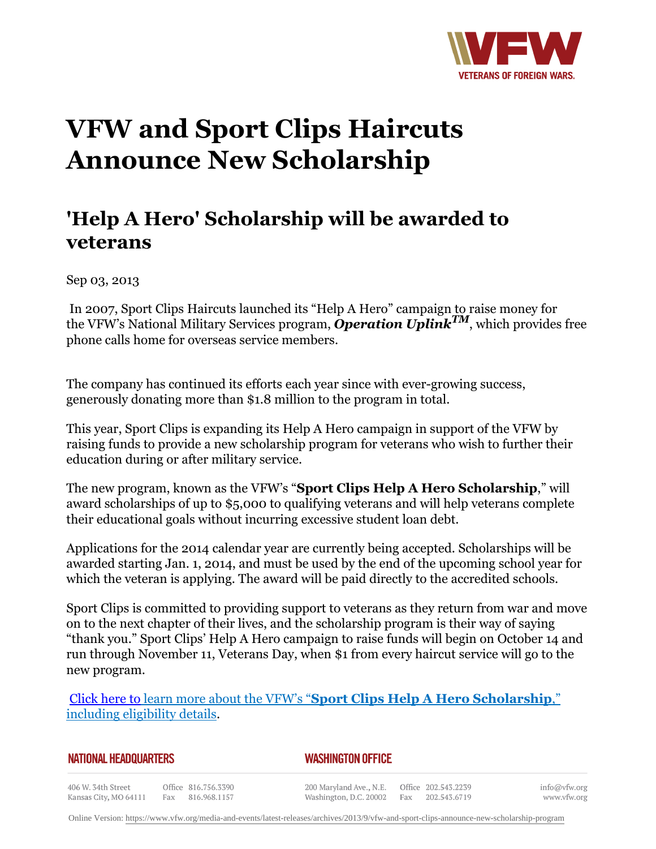

## **VFW and Sport Clips Haircuts Announce New Scholarship**

## **'Help A Hero' Scholarship will be awarded to veterans**

Sep 03, 2013

 In 2007, Sport Clips Haircuts launched its "Help A Hero" campaign to raise money for the VFW's National Military Services program, *Operation UplinkTM*, which provides free phone calls home for overseas service members.

The company has continued its efforts each year since with ever-growing success, generously donating more than \$1.8 million to the program in total.

This year, Sport Clips is expanding its Help A Hero campaign in support of the VFW by raising funds to provide a new scholarship program for veterans who wish to further their education during or after military service.

The new program, known as the VFW's "**Sport Clips Help A Hero Scholarship**," will award scholarships of up to \$5,000 to qualifying veterans and will help veterans complete their educational goals without incurring excessive student loan debt.

Applications for the 2014 calendar year are currently being accepted. Scholarships will be awarded starting Jan. 1, 2014, and must be used by the end of the upcoming school year for which the veteran is applying. The award will be paid directly to the accredited schools.

Sport Clips is committed to providing support to veterans as they return from war and move on to the next chapter of their lives, and the scholarship program is their way of saying "thank you." Sport Clips' Help A Hero campaign to raise funds will begin on October 14 and run through November 11, Veterans Day, when \$1 from every haircut service will go to the new program.

[Click here to](http://www.vfw.org/Assistance/VFW-Sport-Clips-Help-A-Hero-Scholarship/) learn more about the VFW's "**Sport Clips Help A Hero Scholarship**," including eligibility details.

## *WASHINGTON OFFICE*

406 W. 34th Street Office 816.756.3390 Fax 816.968.1157 Kansas City, MO 64111

200 Maryland Ave., N.E. Washington, D.C. 20002

Office 202.543.2239 Fax 202.543.6719 info@vfw.org www.vfw.org

Online Version:<https://www.vfw.org/media-and-events/latest-releases/archives/2013/9/vfw-and-sport-clips-announce-new-scholarship-program>